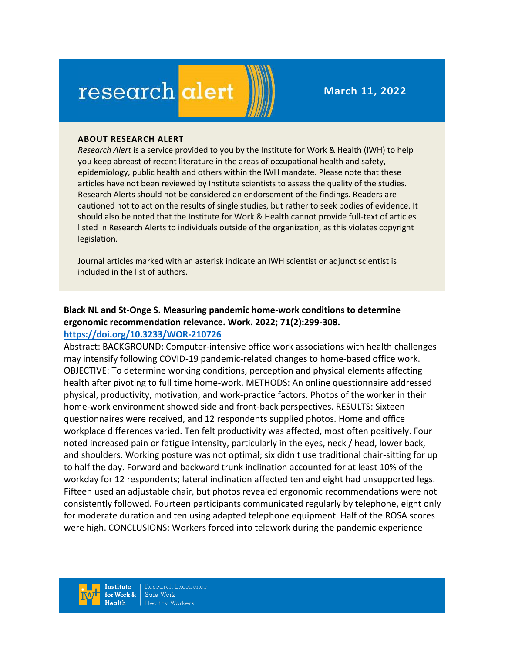# research alert

**March 11, 2022**

#### **ABOUT RESEARCH ALERT**

*Research Alert* is a service provided to you by the Institute for Work & Health (IWH) to help you keep abreast of recent literature in the areas of occupational health and safety, epidemiology, public health and others within the IWH mandate. Please note that these articles have not been reviewed by Institute scientists to assess the quality of the studies. Research Alerts should not be considered an endorsement of the findings. Readers are cautioned not to act on the results of single studies, but rather to seek bodies of evidence. It should also be noted that the Institute for Work & Health cannot provide full-text of articles listed in Research Alerts to individuals outside of the organization, as this violates copyright legislation.

Journal articles marked with an asterisk indicate an IWH scientist or adjunct scientist is included in the list of authors.

# **Black NL and St-Onge S. Measuring pandemic home-work conditions to determine ergonomic recommendation relevance. Work. 2022; 71(2):299-308. <https://doi.org/10.3233/WOR-210726>**

Abstract: BACKGROUND: Computer-intensive office work associations with health challenges may intensify following COVID-19 pandemic-related changes to home-based office work. OBJECTIVE: To determine working conditions, perception and physical elements affecting health after pivoting to full time home-work. METHODS: An online questionnaire addressed physical, productivity, motivation, and work-practice factors. Photos of the worker in their home-work environment showed side and front-back perspectives. RESULTS: Sixteen questionnaires were received, and 12 respondents supplied photos. Home and office workplace differences varied. Ten felt productivity was affected, most often positively. Four noted increased pain or fatigue intensity, particularly in the eyes, neck / head, lower back, and shoulders. Working posture was not optimal; six didn't use traditional chair-sitting for up to half the day. Forward and backward trunk inclination accounted for at least 10% of the workday for 12 respondents; lateral inclination affected ten and eight had unsupported legs. Fifteen used an adjustable chair, but photos revealed ergonomic recommendations were not consistently followed. Fourteen participants communicated regularly by telephone, eight only for moderate duration and ten using adapted telephone equipment. Half of the ROSA scores were high. CONCLUSIONS: Workers forced into telework during the pandemic experience

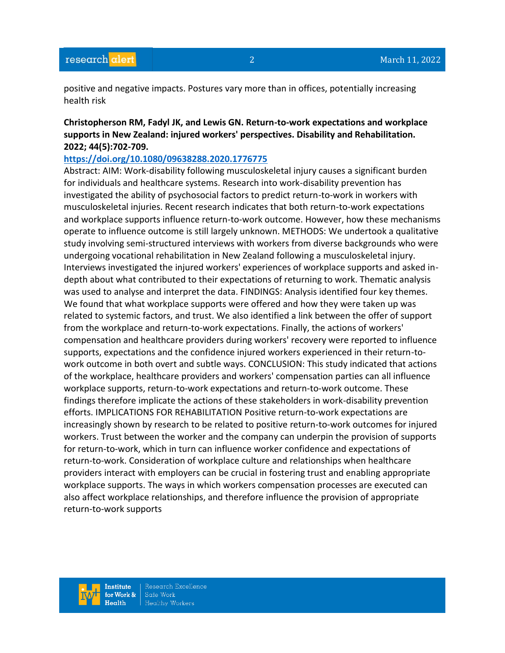positive and negative impacts. Postures vary more than in offices, potentially increasing health risk

# **Christopherson RM, Fadyl JK, and Lewis GN. Return-to-work expectations and workplace supports in New Zealand: injured workers' perspectives. Disability and Rehabilitation. 2022; 44(5):702-709.**

## **<https://doi.org/10.1080/09638288.2020.1776775>**

Abstract: AIM: Work-disability following musculoskeletal injury causes a significant burden for individuals and healthcare systems. Research into work-disability prevention has investigated the ability of psychosocial factors to predict return-to-work in workers with musculoskeletal injuries. Recent research indicates that both return-to-work expectations and workplace supports influence return-to-work outcome. However, how these mechanisms operate to influence outcome is still largely unknown. METHODS: We undertook a qualitative study involving semi-structured interviews with workers from diverse backgrounds who were undergoing vocational rehabilitation in New Zealand following a musculoskeletal injury. Interviews investigated the injured workers' experiences of workplace supports and asked indepth about what contributed to their expectations of returning to work. Thematic analysis was used to analyse and interpret the data. FINDINGS: Analysis identified four key themes. We found that what workplace supports were offered and how they were taken up was related to systemic factors, and trust. We also identified a link between the offer of support from the workplace and return-to-work expectations. Finally, the actions of workers' compensation and healthcare providers during workers' recovery were reported to influence supports, expectations and the confidence injured workers experienced in their return-towork outcome in both overt and subtle ways. CONCLUSION: This study indicated that actions of the workplace, healthcare providers and workers' compensation parties can all influence workplace supports, return-to-work expectations and return-to-work outcome. These findings therefore implicate the actions of these stakeholders in work-disability prevention efforts. IMPLICATIONS FOR REHABILITATION Positive return-to-work expectations are increasingly shown by research to be related to positive return-to-work outcomes for injured workers. Trust between the worker and the company can underpin the provision of supports for return-to-work, which in turn can influence worker confidence and expectations of return-to-work. Consideration of workplace culture and relationships when healthcare providers interact with employers can be crucial in fostering trust and enabling appropriate workplace supports. The ways in which workers compensation processes are executed can also affect workplace relationships, and therefore influence the provision of appropriate return-to-work supports

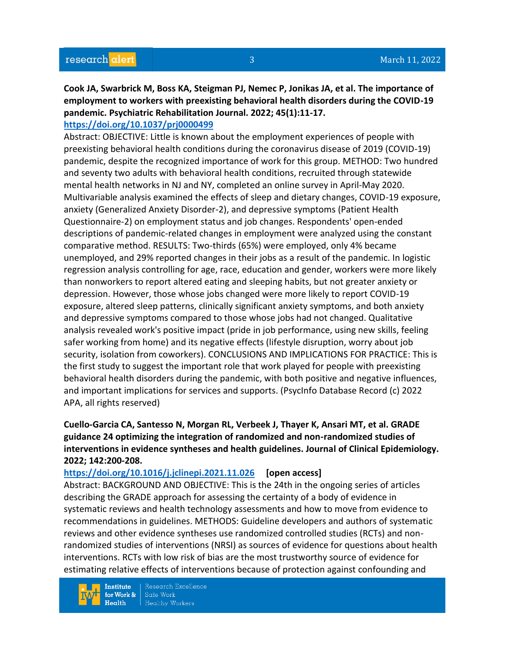# **Cook JA, Swarbrick M, Boss KA, Steigman PJ, Nemec P, Jonikas JA, et al. The importance of employment to workers with preexisting behavioral health disorders during the COVID-19 pandemic. Psychiatric Rehabilitation Journal. 2022; 45(1):11-17.**

### **<https://doi.org/10.1037/prj0000499>**

Abstract: OBJECTIVE: Little is known about the employment experiences of people with preexisting behavioral health conditions during the coronavirus disease of 2019 (COVID-19) pandemic, despite the recognized importance of work for this group. METHOD: Two hundred and seventy two adults with behavioral health conditions, recruited through statewide mental health networks in NJ and NY, completed an online survey in April-May 2020. Multivariable analysis examined the effects of sleep and dietary changes, COVID-19 exposure, anxiety (Generalized Anxiety Disorder-2), and depressive symptoms (Patient Health Questionnaire-2) on employment status and job changes. Respondents' open-ended descriptions of pandemic-related changes in employment were analyzed using the constant comparative method. RESULTS: Two-thirds (65%) were employed, only 4% became unemployed, and 29% reported changes in their jobs as a result of the pandemic. In logistic regression analysis controlling for age, race, education and gender, workers were more likely than nonworkers to report altered eating and sleeping habits, but not greater anxiety or depression. However, those whose jobs changed were more likely to report COVID-19 exposure, altered sleep patterns, clinically significant anxiety symptoms, and both anxiety and depressive symptoms compared to those whose jobs had not changed. Qualitative analysis revealed work's positive impact (pride in job performance, using new skills, feeling safer working from home) and its negative effects (lifestyle disruption, worry about job security, isolation from coworkers). CONCLUSIONS AND IMPLICATIONS FOR PRACTICE: This is the first study to suggest the important role that work played for people with preexisting behavioral health disorders during the pandemic, with both positive and negative influences, and important implications for services and supports. (PsycInfo Database Record (c) 2022 APA, all rights reserved)

# **Cuello-Garcia CA, Santesso N, Morgan RL, Verbeek J, Thayer K, Ansari MT, et al. GRADE guidance 24 optimizing the integration of randomized and non-randomized studies of interventions in evidence syntheses and health guidelines. Journal of Clinical Epidemiology. 2022; 142:200-208.**

#### **<https://doi.org/10.1016/j.jclinepi.2021.11.026> [open access]**

Abstract: BACKGROUND AND OBJECTIVE: This is the 24th in the ongoing series of articles describing the GRADE approach for assessing the certainty of a body of evidence in systematic reviews and health technology assessments and how to move from evidence to recommendations in guidelines. METHODS: Guideline developers and authors of systematic reviews and other evidence syntheses use randomized controlled studies (RCTs) and nonrandomized studies of interventions (NRSI) as sources of evidence for questions about health interventions. RCTs with low risk of bias are the most trustworthy source of evidence for estimating relative effects of interventions because of protection against confounding and

**Institute** for Work &  $Health$ 

Research Excellence Safe Work **Healthy Workers**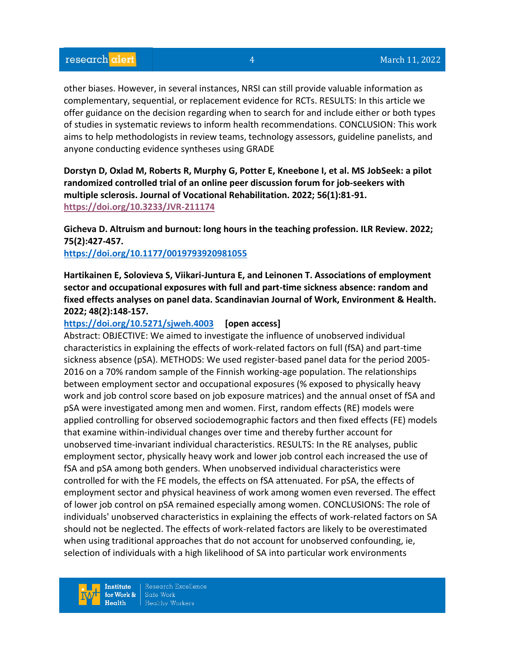other biases. However, in several instances, NRSI can still provide valuable information as complementary, sequential, or replacement evidence for RCTs. RESULTS: In this article we offer guidance on the decision regarding when to search for and include either or both types of studies in systematic reviews to inform health recommendations. CONCLUSION: This work aims to help methodologists in review teams, technology assessors, guideline panelists, and anyone conducting evidence syntheses using GRADE

**Dorstyn D, Oxlad M, Roberts R, Murphy G, Potter E, Kneebone I, et al. MS JobSeek: a pilot randomized controlled trial of an online peer discussion forum for job-seekers with multiple sclerosis. Journal of Vocational Rehabilitation. 2022; 56(1):81-91. <https://doi.org/10.3233/JVR-211174>** 

**Gicheva D. Altruism and burnout: long hours in the teaching profession. ILR Review. 2022; 75(2):427-457.** 

## **<https://doi.org/10.1177/0019793920981055>**

**Hartikainen E, Solovieva S, Viikari-Juntura E, and Leinonen T. Associations of employment sector and occupational exposures with full and part-time sickness absence: random and fixed effects analyses on panel data. Scandinavian Journal of Work, Environment & Health. 2022; 48(2):148-157.** 

## **<https://doi.org/10.5271/sjweh.4003> [open access]**

Abstract: OBJECTIVE: We aimed to investigate the influence of unobserved individual characteristics in explaining the effects of work-related factors on full (fSA) and part-time sickness absence (pSA). METHODS: We used register-based panel data for the period 2005- 2016 on a 70% random sample of the Finnish working-age population. The relationships between employment sector and occupational exposures (% exposed to physically heavy work and job control score based on job exposure matrices) and the annual onset of fSA and pSA were investigated among men and women. First, random effects (RE) models were applied controlling for observed sociodemographic factors and then fixed effects (FE) models that examine within-individual changes over time and thereby further account for unobserved time-invariant individual characteristics. RESULTS: In the RE analyses, public employment sector, physically heavy work and lower job control each increased the use of fSA and pSA among both genders. When unobserved individual characteristics were controlled for with the FE models, the effects on fSA attenuated. For pSA, the effects of employment sector and physical heaviness of work among women even reversed. The effect of lower job control on pSA remained especially among women. CONCLUSIONS: The role of individuals' unobserved characteristics in explaining the effects of work-related factors on SA should not be neglected. The effects of work-related factors are likely to be overestimated when using traditional approaches that do not account for unobserved confounding, ie, selection of individuals with a high likelihood of SA into particular work environments

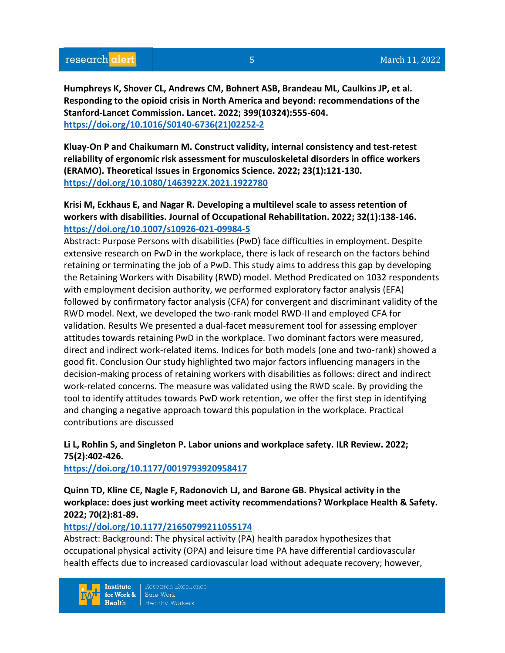# research alert

**Humphreys K, Shover CL, Andrews CM, Bohnert ASB, Brandeau ML, Caulkins JP, et al. Responding to the opioid crisis in North America and beyond: recommendations of the Stanford-Lancet Commission. Lancet. 2022; 399(10324):555-604. [https://doi.org/10.1016/S0140-6736\(21\)02252-2](https://doi.org/10.1016/S0140-6736(21)02252-2)** 

**Kluay-On P and Chaikumarn M. Construct validity, internal consistency and test-retest reliability of ergonomic risk assessment for musculoskeletal disorders in office workers (ERAMO). Theoretical Issues in Ergonomics Science. 2022; 23(1):121-130. <https://doi.org/10.1080/1463922X.2021.1922780>** 

**Krisi M, Eckhaus E, and Nagar R. Developing a multilevel scale to assess retention of workers with disabilities. Journal of Occupational Rehabilitation. 2022; 32(1):138-146. <https://doi.org/10.1007/s10926-021-09984-5>** 

Abstract: Purpose Persons with disabilities (PwD) face difficulties in employment. Despite extensive research on PwD in the workplace, there is lack of research on the factors behind retaining or terminating the job of a PwD. This study aims to address this gap by developing the Retaining Workers with Disability (RWD) model. Method Predicated on 1032 respondents with employment decision authority, we performed exploratory factor analysis (EFA) followed by confirmatory factor analysis (CFA) for convergent and discriminant validity of the RWD model. Next, we developed the two-rank model RWD-II and employed CFA for validation. Results We presented a dual-facet measurement tool for assessing employer attitudes towards retaining PwD in the workplace. Two dominant factors were measured, direct and indirect work-related items. Indices for both models (one and two-rank) showed a good fit. Conclusion Our study highlighted two major factors influencing managers in the decision-making process of retaining workers with disabilities as follows: direct and indirect work-related concerns. The measure was validated using the RWD scale. By providing the tool to identify attitudes towards PwD work retention, we offer the first step in identifying and changing a negative approach toward this population in the workplace. Practical contributions are discussed

# **Li L, Rohlin S, and Singleton P. Labor unions and workplace safety. ILR Review. 2022; 75(2):402-426.**

**<https://doi.org/10.1177/0019793920958417>** 

**Quinn TD, Kline CE, Nagle F, Radonovich LJ, and Barone GB. Physical activity in the workplace: does just working meet activity recommendations? Workplace Health & Safety. 2022; 70(2):81-89.** 

## **<https://doi.org/10.1177/21650799211055174>**

Abstract: Background: The physical activity (PA) health paradox hypothesizes that occupational physical activity (OPA) and leisure time PA have differential cardiovascular health effects due to increased cardiovascular load without adequate recovery; however,

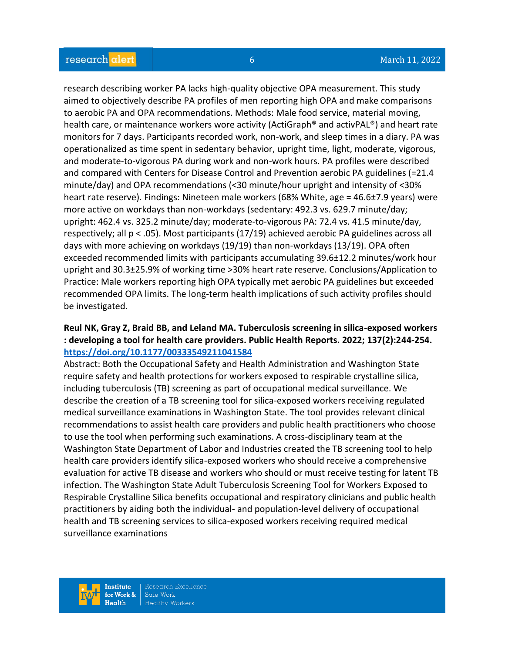research describing worker PA lacks high-quality objective OPA measurement. This study aimed to objectively describe PA profiles of men reporting high OPA and make comparisons to aerobic PA and OPA recommendations. Methods: Male food service, material moving, health care, or maintenance workers wore activity (ActiGraph® and activPAL®) and heart rate monitors for 7 days. Participants recorded work, non-work, and sleep times in a diary. PA was operationalized as time spent in sedentary behavior, upright time, light, moderate, vigorous, and moderate-to-vigorous PA during work and non-work hours. PA profiles were described and compared with Centers for Disease Control and Prevention aerobic PA guidelines (=21.4 minute/day) and OPA recommendations (<30 minute/hour upright and intensity of <30% heart rate reserve). Findings: Nineteen male workers (68% White, age = 46.6±7.9 years) were more active on workdays than non-workdays (sedentary: 492.3 vs. 629.7 minute/day; upright: 462.4 vs. 325.2 minute/day; moderate-to-vigorous PA: 72.4 vs. 41.5 minute/day, respectively; all p < .05). Most participants (17/19) achieved aerobic PA guidelines across all days with more achieving on workdays (19/19) than non-workdays (13/19). OPA often exceeded recommended limits with participants accumulating 39.6±12.2 minutes/work hour upright and 30.3±25.9% of working time >30% heart rate reserve. Conclusions/Application to Practice: Male workers reporting high OPA typically met aerobic PA guidelines but exceeded recommended OPA limits. The long-term health implications of such activity profiles should be investigated.

# **Reul NK, Gray Z, Braid BB, and Leland MA. Tuberculosis screening in silica-exposed workers : developing a tool for health care providers. Public Health Reports. 2022; 137(2):244-254. <https://doi.org/10.1177/00333549211041584>**

Abstract: Both the Occupational Safety and Health Administration and Washington State require safety and health protections for workers exposed to respirable crystalline silica, including tuberculosis (TB) screening as part of occupational medical surveillance. We describe the creation of a TB screening tool for silica-exposed workers receiving regulated medical surveillance examinations in Washington State. The tool provides relevant clinical recommendations to assist health care providers and public health practitioners who choose to use the tool when performing such examinations. A cross-disciplinary team at the Washington State Department of Labor and Industries created the TB screening tool to help health care providers identify silica-exposed workers who should receive a comprehensive evaluation for active TB disease and workers who should or must receive testing for latent TB infection. The Washington State Adult Tuberculosis Screening Tool for Workers Exposed to Respirable Crystalline Silica benefits occupational and respiratory clinicians and public health practitioners by aiding both the individual- and population-level delivery of occupational health and TB screening services to silica-exposed workers receiving required medical surveillance examinations

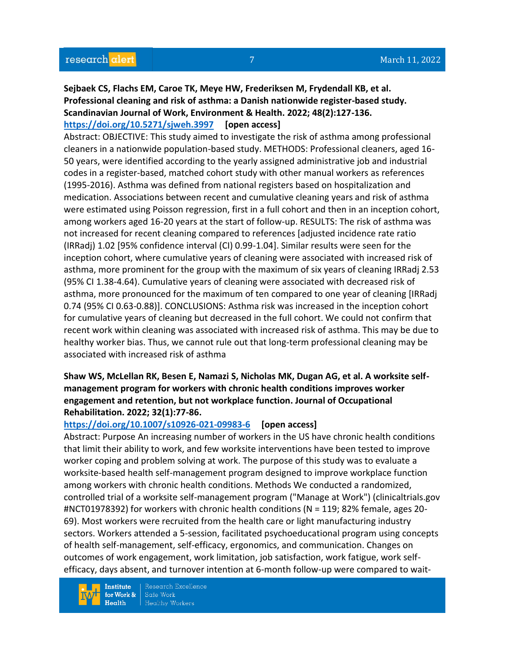# **Sejbaek CS, Flachs EM, Caroe TK, Meye HW, Frederiksen M, Frydendall KB, et al. Professional cleaning and risk of asthma: a Danish nationwide register-based study. Scandinavian Journal of Work, Environment & Health. 2022; 48(2):127-136. <https://doi.org/10.5271/sjweh.3997> [open access]**

Abstract: OBJECTIVE: This study aimed to investigate the risk of asthma among professional cleaners in a nationwide population-based study. METHODS: Professional cleaners, aged 16- 50 years, were identified according to the yearly assigned administrative job and industrial codes in a register-based, matched cohort study with other manual workers as references (1995-2016). Asthma was defined from national registers based on hospitalization and medication. Associations between recent and cumulative cleaning years and risk of asthma were estimated using Poisson regression, first in a full cohort and then in an inception cohort, among workers aged 16-20 years at the start of follow-up. RESULTS: The risk of asthma was not increased for recent cleaning compared to references [adjusted incidence rate ratio (IRRadj) 1.02 [95% confidence interval (CI) 0.99-1.04]. Similar results were seen for the inception cohort, where cumulative years of cleaning were associated with increased risk of asthma, more prominent for the group with the maximum of six years of cleaning IRRadj 2.53 (95% CI 1.38-4.64). Cumulative years of cleaning were associated with decreased risk of asthma, more pronounced for the maximum of ten compared to one year of cleaning [IRRadj 0.74 (95% CI 0.63-0.88)]. CONCLUSIONS: Asthma risk was increased in the inception cohort for cumulative years of cleaning but decreased in the full cohort. We could not confirm that recent work within cleaning was associated with increased risk of asthma. This may be due to healthy worker bias. Thus, we cannot rule out that long-term professional cleaning may be associated with increased risk of asthma

# **Shaw WS, McLellan RK, Besen E, Namazi S, Nicholas MK, Dugan AG, et al. A worksite selfmanagement program for workers with chronic health conditions improves worker engagement and retention, but not workplace function. Journal of Occupational Rehabilitation. 2022; 32(1):77-86.**

## **<https://doi.org/10.1007/s10926-021-09983-6> [open access]**

Abstract: Purpose An increasing number of workers in the US have chronic health conditions that limit their ability to work, and few worksite interventions have been tested to improve worker coping and problem solving at work. The purpose of this study was to evaluate a worksite-based health self-management program designed to improve workplace function among workers with chronic health conditions. Methods We conducted a randomized, controlled trial of a worksite self-management program ("Manage at Work") (clinicaltrials.gov #NCT01978392) for workers with chronic health conditions (N = 119; 82% female, ages 20- 69). Most workers were recruited from the health care or light manufacturing industry sectors. Workers attended a 5-session, facilitated psychoeducational program using concepts of health self-management, self-efficacy, ergonomics, and communication. Changes on outcomes of work engagement, work limitation, job satisfaction, work fatigue, work selfefficacy, days absent, and turnover intention at 6-month follow-up were compared to wait-

**Institute** for Work &  $Health$ 

Research Excellence Safe Work **Healthy Workers**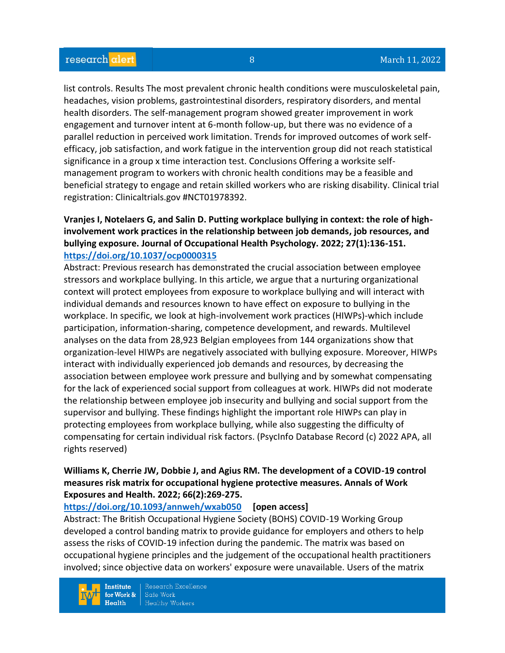list controls. Results The most prevalent chronic health conditions were musculoskeletal pain, headaches, vision problems, gastrointestinal disorders, respiratory disorders, and mental health disorders. The self-management program showed greater improvement in work engagement and turnover intent at 6-month follow-up, but there was no evidence of a parallel reduction in perceived work limitation. Trends for improved outcomes of work selfefficacy, job satisfaction, and work fatigue in the intervention group did not reach statistical significance in a group x time interaction test. Conclusions Offering a worksite selfmanagement program to workers with chronic health conditions may be a feasible and beneficial strategy to engage and retain skilled workers who are risking disability. Clinical trial registration: Clinicaltrials.gov #NCT01978392.

# **Vranjes I, Notelaers G, and Salin D. Putting workplace bullying in context: the role of highinvolvement work practices in the relationship between job demands, job resources, and bullying exposure. Journal of Occupational Health Psychology. 2022; 27(1):136-151. <https://doi.org/10.1037/ocp0000315>**

Abstract: Previous research has demonstrated the crucial association between employee stressors and workplace bullying. In this article, we argue that a nurturing organizational context will protect employees from exposure to workplace bullying and will interact with individual demands and resources known to have effect on exposure to bullying in the workplace. In specific, we look at high-involvement work practices (HIWPs)-which include participation, information-sharing, competence development, and rewards. Multilevel analyses on the data from 28,923 Belgian employees from 144 organizations show that organization-level HIWPs are negatively associated with bullying exposure. Moreover, HIWPs interact with individually experienced job demands and resources, by decreasing the association between employee work pressure and bullying and by somewhat compensating for the lack of experienced social support from colleagues at work. HIWPs did not moderate the relationship between employee job insecurity and bullying and social support from the supervisor and bullying. These findings highlight the important role HIWPs can play in protecting employees from workplace bullying, while also suggesting the difficulty of compensating for certain individual risk factors. (PsycInfo Database Record (c) 2022 APA, all rights reserved)

# **Williams K, Cherrie JW, Dobbie J, and Agius RM. The development of a COVID-19 control measures risk matrix for occupational hygiene protective measures. Annals of Work Exposures and Health. 2022; 66(2):269-275.**

## **<https://doi.org/10.1093/annweh/wxab050> [open access]**

Abstract: The British Occupational Hygiene Society (BOHS) COVID-19 Working Group developed a control banding matrix to provide guidance for employers and others to help assess the risks of COVID-19 infection during the pandemic. The matrix was based on occupational hygiene principles and the judgement of the occupational health practitioners involved; since objective data on workers' exposure were unavailable. Users of the matrix



Research Excellence Safe Work **Healthy Workers**